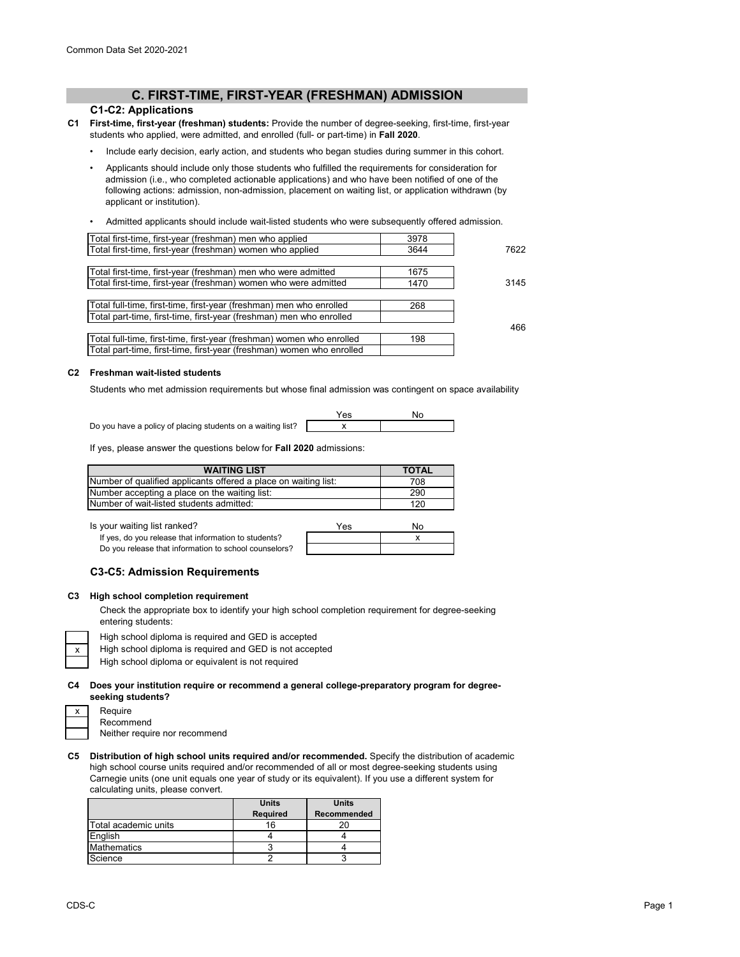# **C. FIRST-TIME, FIRST-YEAR (FRESHMAN) ADMISSION**

# **C1-C2: Applications**

- **C1 First-time, first-year (freshman) students:** Provide the number of degree-seeking, first-time, first-year students who applied, were admitted, and enrolled (full- or part-time) in **Fall 2020**.
	- Include early decision, early action, and students who began studies during summer in this cohort.
	- Applicants should include only those students who fulfilled the requirements for consideration for admission (i.e., who completed actionable applications) and who have been notified of one of the following actions: admission, non-admission, placement on waiting list, or application withdrawn (by applicant or institution).
	- Admitted applicants should include wait-listed students who were subsequently offered admission.

| Total first-time, first-year (freshman) men who applied               | 3978 |      |
|-----------------------------------------------------------------------|------|------|
| Total first-time, first-year (freshman) women who applied             | 3644 | 7622 |
|                                                                       |      |      |
| Total first-time, first-year (freshman) men who were admitted         | 1675 |      |
| Total first-time, first-year (freshman) women who were admitted       | 1470 | 3145 |
|                                                                       |      |      |
| Total full-time, first-time, first-year (freshman) men who enrolled   | 268  |      |
| Total part-time, first-time, first-year (freshman) men who enrolled   |      |      |
|                                                                       |      | 466  |
| Total full-time, first-time, first-year (freshman) women who enrolled | 198  |      |
| Total part-time, first-time, first-year (freshman) women who enrolled |      |      |
|                                                                       |      |      |

#### **C2 Freshman wait-listed students**

Students who met admission requirements but whose final admission was contingent on space availability

Do you have a policy of placing students on a waiting list?

| <br>- |  |
|-------|--|
|       |  |

If yes, please answer the questions below for **Fall 2020** admissions:

| <b>WAITING LIST</b>                                             | <b>TOTAL</b> |
|-----------------------------------------------------------------|--------------|
| Number of qualified applicants offered a place on waiting list: | 708          |
| Number accepting a place on the waiting list:                   | 290          |
| Number of wait-listed students admitted:                        | 120          |

Is your waiting list ranked?

| your waiting list ranked?                             | Yes | N٥ |
|-------------------------------------------------------|-----|----|
| If yes, do you release that information to students?  |     |    |
| Do you release that information to school counselors? |     |    |

### **C3-C5: Admission Requirements**

### **C3 High school completion requirement**

Check the appropriate box to identify your high school completion requirement for degree-seeking entering students:



High school diploma is required and GED is accepted

- High school diploma is required and GED is not accepted
- High school diploma or equivalent is not required

### **C4 Does your institution require or recommend a general college-preparatory program for degreeseeking students?**

| x | Require   |
|---|-----------|
|   | Recomn    |
|   | Neither i |

Recommend Neither require nor recommend

**C5 Distribution of high school units required and/or recommended.** Specify the distribution of academic high school course units required and/or recommended of all or most degree-seeking students using Carnegie units (one unit equals one year of study or its equivalent). If you use a different system for calculating units, please convert.

|                      | <b>Units</b>    | <b>Units</b>       |
|----------------------|-----------------|--------------------|
|                      | <b>Required</b> | <b>Recommended</b> |
| Total academic units | 16              |                    |
| English              |                 |                    |
| <b>Mathematics</b>   |                 |                    |
| Science              |                 |                    |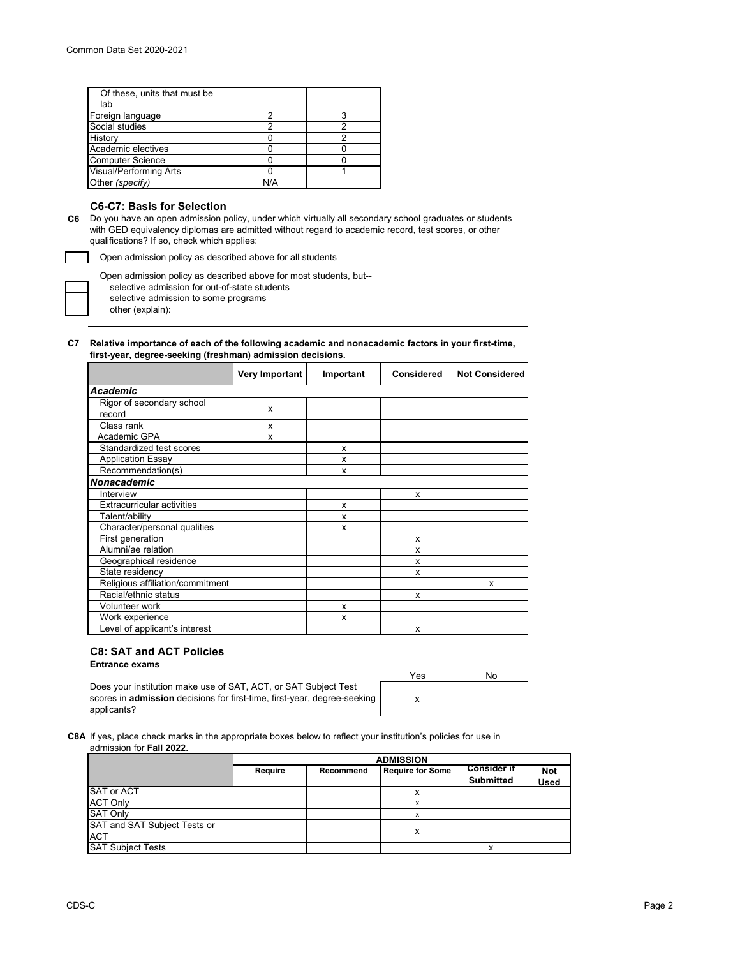| Of these, units that must be |     |  |
|------------------------------|-----|--|
| lab                          |     |  |
| Foreign language             |     |  |
| Social studies               |     |  |
| History                      |     |  |
| Academic electives           |     |  |
| <b>Computer Science</b>      |     |  |
| Visual/Performing Arts       |     |  |
| Other (specify)              | N/A |  |

# **C6-C7: Basis for Selection**

**C6** Do you have an open admission policy, under which virtually all secondary school graduates or students with GED equivalency diplomas are admitted without regard to academic record, test scores, or other qualifications? If so, check which applies:

Open admission policy as described above for all students

other (explain): Open admission policy as described above for most students, but- selective admission for out-of-state students selective admission to some programs

### **C7 Relative importance of each of the following academic and nonacademic factors in your first-time, first-year, degree-seeking (freshman) admission decisions.**

|                                     | Very Important | Important | Considered | <b>Not Considered</b> |
|-------------------------------------|----------------|-----------|------------|-----------------------|
| <b>Academic</b>                     |                |           |            |                       |
| Rigor of secondary school<br>record | X              |           |            |                       |
| Class rank                          | X              |           |            |                       |
| Academic GPA                        | x              |           |            |                       |
| Standardized test scores            |                | x         |            |                       |
| <b>Application Essay</b>            |                | x         |            |                       |
| Recommendation(s)                   |                | x         |            |                       |
| <b>Nonacademic</b>                  |                |           |            |                       |
| Interview                           |                |           | x          |                       |
| <b>Extracurricular activities</b>   |                | x         |            |                       |
| Talent/ability                      |                | x         |            |                       |
| Character/personal qualities        |                | x         |            |                       |
| First generation                    |                |           | x          |                       |
| Alumni/ae relation                  |                |           | x          |                       |
| Geographical residence              |                |           | x          |                       |
| State residency                     |                |           | x          |                       |
| Religious affiliation/commitment    |                |           |            | X                     |
| Racial/ethnic status                |                |           | x          |                       |
| Volunteer work                      |                | x         |            |                       |
| Work experience                     |                | x         |            |                       |
| Level of applicant's interest       |                |           | x          |                       |

# **C8: SAT and ACT Policies**

**Entrance exams** 

Does your institution make use of SAT, ACT, or SAT Subject Test scores in **admission** decisions for first-time, first-year, degree-seeking applicants?

| Yes | No |
|-----|----|
|     |    |

**C8A** If yes, place check marks in the appropriate boxes below to reflect your institution's policies for use in admission for **Fall 2022.**

|                              | <b>ADMISSION</b> |           |                         |                                        |                           |
|------------------------------|------------------|-----------|-------------------------|----------------------------------------|---------------------------|
|                              | Require          | Recommend | <b>Require for Some</b> | <b>Consider if</b><br><b>Submitted</b> | <b>Not</b><br><b>Used</b> |
| SAT or ACT                   |                  |           |                         |                                        |                           |
| <b>ACT Only</b>              |                  |           |                         |                                        |                           |
| <b>SAT Only</b>              |                  |           |                         |                                        |                           |
| SAT and SAT Subject Tests or |                  |           |                         |                                        |                           |
| <b>ACT</b>                   |                  |           | x                       |                                        |                           |
| <b>SAT Subject Tests</b>     |                  |           |                         | х                                      |                           |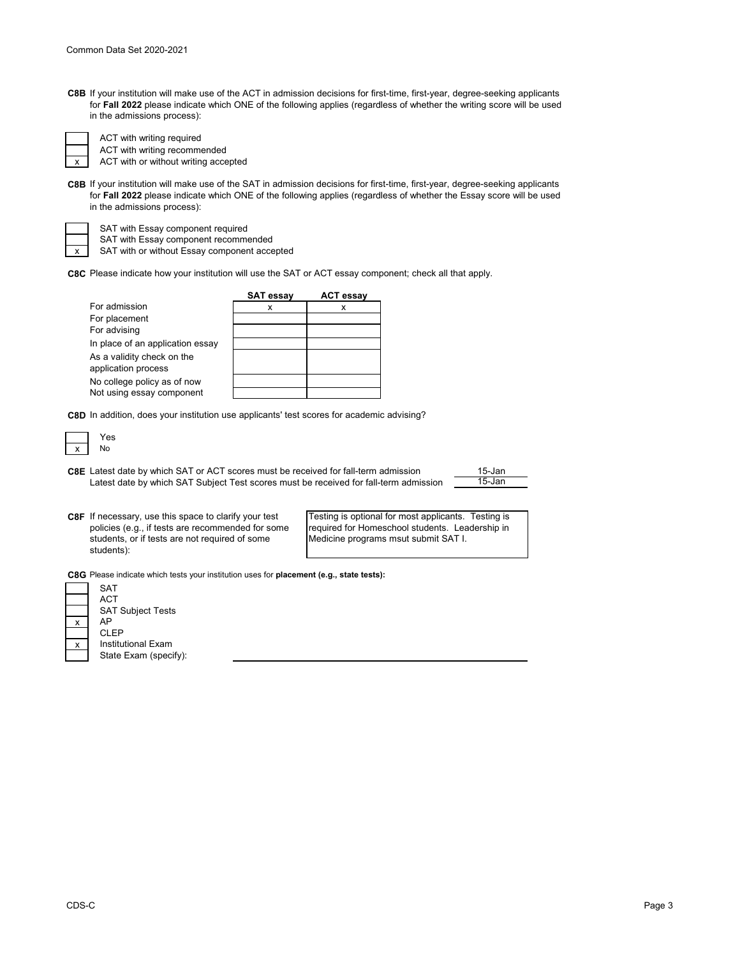| <b>C8B</b> If your institution will make use of the ACT in admission decisions for first-time, first-year, degree-seeking applicants |
|--------------------------------------------------------------------------------------------------------------------------------------|
| for Fall 2022 please indicate which ONE of the following applies (regardless of whether the writing score will be used               |
| in the admissions process):                                                                                                          |

ACT with writing recommended ACT with writing required

x ACT with or without writing accepted

**C8B** If your institution will make use of the SAT in admission decisions for first-time, first-year, degree-seeking applicants for **Fall 2022** please indicate which ONE of the following applies (regardless of whether the Essay score will be used in the admissions process):

SAT with Essay component required

SAT with Essay component recommended

SAT with or without Essay component accepted

**C8C** Please indicate how your institution will use the SAT or ACT essay component; check all that apply.

|                                  | <b>SAT essay</b> | <b>ACT essay</b> |
|----------------------------------|------------------|------------------|
| For admission                    | х                | x                |
| For placement                    |                  |                  |
| For advising                     |                  |                  |
| In place of an application essay |                  |                  |
| As a validity check on the       |                  |                  |
| application process              |                  |                  |
| No college policy as of now      |                  |                  |
| Not using essay component        |                  |                  |

**C8D** In addition, does your institution use applicants' test scores for academic advising?

**C8E** Latest date by which SAT or ACT scores must be received for fall-term admission \_\_\_\_\_\_\_\_\_\_\_\_\_\_\_\_\_\_\_\_\_\_\_\_\_\_ 15-Jan Latest date by which SAT Subject Test scores must be received for fall-term admission

**C8F** If necessary, use this space to clarify your test policies (e.g., if tests are recommended for some students, or if tests are not required of some students):

Testing is optional for most applicants. Testing is required for Homeschool students. Leadership in Medicine programs msut submit SAT I.

**C8G** Please indicate which tests your institution uses for **placement (e.g., state tests):**

|                           | <b>SAT</b>               |
|---------------------------|--------------------------|
|                           | ACT                      |
|                           | <b>SAT Subject Tests</b> |
| $\mathsf{x}$              | AP                       |
|                           | <b>CLEP</b>              |
| $\boldsymbol{\mathsf{x}}$ | Institutional Exam       |
|                           | State Exam (specify):    |
|                           |                          |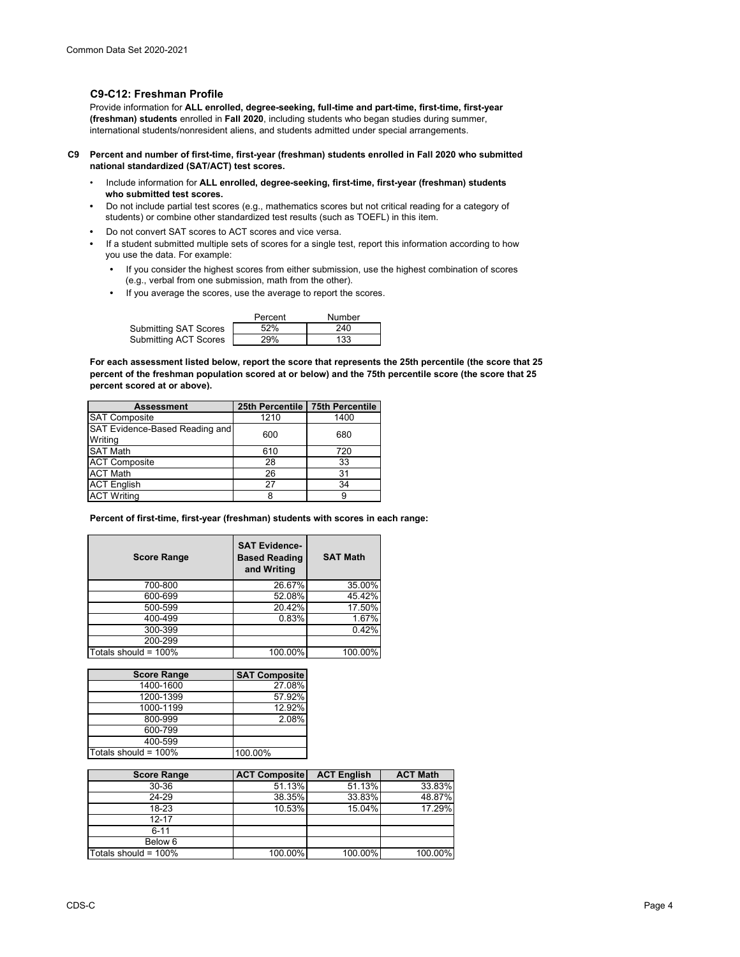# **C9-C12: Freshman Profile**

Provide information for **ALL enrolled, degree-seeking, full-time and part-time, first-time, first-year (freshman) students** enrolled in **Fall 2020**, including students who began studies during summer, international students/nonresident aliens, and students admitted under special arrangements.

- **C9 Percent and number of first-time, first-year (freshman) students enrolled in Fall 2020 who submitted national standardized (SAT/ACT) test scores.**
	- Include information for **ALL enrolled, degree-seeking, first-time, first-year (freshman) students who submitted test scores.**
	- Do not include partial test scores (e.g., mathematics scores but not critical reading for a category of students) or combine other standardized test results (such as TOEFL) in this item.
	- Do not convert SAT scores to ACT scores and vice versa.
	- If a student submitted multiple sets of scores for a single test, report this information according to how you use the data. For example:
		- If you consider the highest scores from either submission, use the highest combination of scores (e.g., verbal from one submission, math from the other).
		- If you average the scores, use the average to report the scores.

|                              | Percent | Number |
|------------------------------|---------|--------|
| <b>Submitting SAT Scores</b> | 52%     | 240    |
| Submitting ACT Scores        | 29%     | 133    |

**For each assessment listed below, report the score that represents the 25th percentile (the score that 25 percent of the freshman population scored at or below) and the 75th percentile score (the score that 25 percent scored at or above).**

| <b>Assessment</b>                         | 25th Percentile   75th Percentile |      |
|-------------------------------------------|-----------------------------------|------|
| SAT Composite                             | 1210                              | 1400 |
| SAT Evidence-Based Reading and<br>Writing | 600                               | 680  |
| <b>SAT Math</b>                           | 610                               | 720  |
| <b>ACT Composite</b>                      | 28                                | 33   |
| <b>ACT Math</b>                           | 26                                | 31   |
| <b>ACT English</b>                        | 27                                | 34   |
| <b>ACT Writing</b>                        |                                   |      |

**Percent of first-time, first-year (freshman) students with scores in each range:**

| <b>Score Range</b>   | <b>SAT Evidence-</b><br><b>Based Reading</b><br>and Writing | <b>SAT Math</b> |
|----------------------|-------------------------------------------------------------|-----------------|
| 700-800              | 26.67%                                                      | 35.00%          |
| 600-699              | 52.08%                                                      | 45.42%          |
| 500-599              | 20.42%                                                      | 17.50%          |
| 400-499              | 0.83%                                                       | 1.67%           |
| 300-399              |                                                             | 0.42%           |
| 200-299              |                                                             |                 |
| Totals should = 100% | 100.00%                                                     | 100.00%         |

| <b>Score Range</b>   | <b>SAT Composite</b> |
|----------------------|----------------------|
| 1400-1600            | 27.08%               |
| 1200-1399            | 57.92%               |
| 1000-1199            | 12.92%               |
| 800-999              | 2.08%                |
| 600-799              |                      |
| 400-599              |                      |
| Totals should = 100% | 100.00%              |

| <b>Score Range</b>   | <b>ACT Composite</b> | <b>ACT English</b> | <b>ACT Math</b> |
|----------------------|----------------------|--------------------|-----------------|
| 30-36                | 51.13%               | 51.13%             | 33.83%          |
| 24-29                | 38.35%               | 33.83%             | 48.87%          |
| 18-23                | 10.53%               | 15.04%             | 17.29%          |
| 12-17                |                      |                    |                 |
| $6 - 11$             |                      |                    |                 |
| Below 6              |                      |                    |                 |
| Totals should = 100% | 100.00%              | 100.00%            | 100.00%         |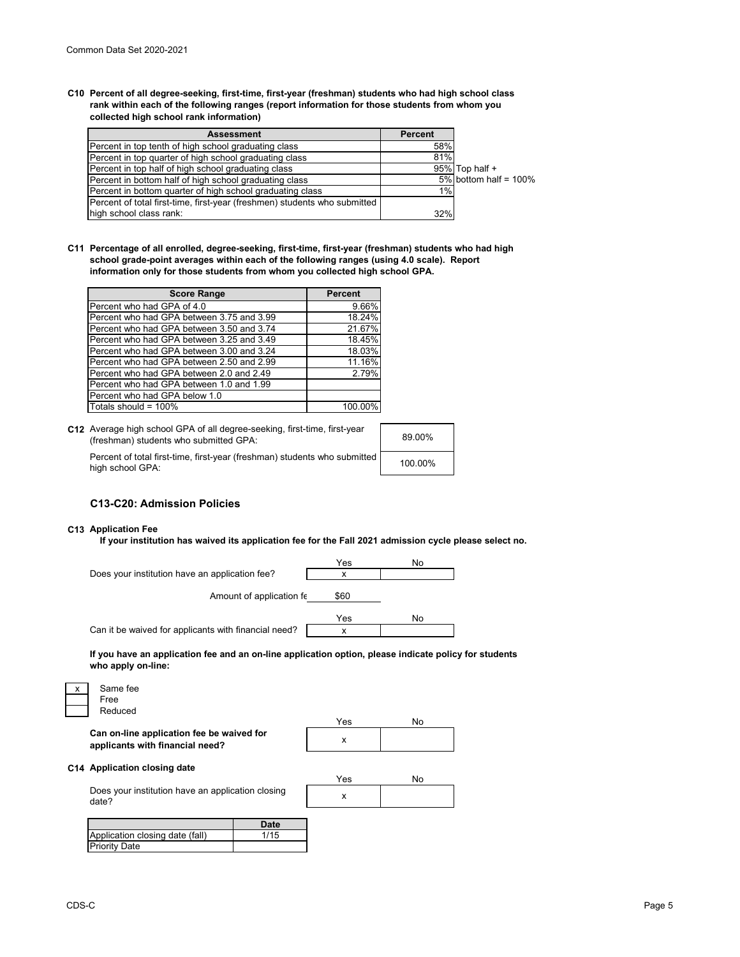**C10 Percent of all degree-seeking, first-time, first-year (freshman) students who had high school class rank within each of the following ranges (report information for those students from whom you collected high school rank information)**

| <b>Assessment</b>                                                         | <b>Percent</b> |                          |
|---------------------------------------------------------------------------|----------------|--------------------------|
| Percent in top tenth of high school graduating class                      | 58%            |                          |
| Percent in top quarter of high school graduating class                    | 81%            |                          |
| Percent in top half of high school graduating class                       |                | 95% Top half +           |
| Percent in bottom half of high school graduating class                    |                | 5% bottom half = $100\%$ |
| Percent in bottom quarter of high school graduating class                 | 1%             |                          |
| Percent of total first-time, first-year (freshmen) students who submitted |                |                          |
| high school class rank:                                                   | 32%            |                          |

**C11 Percentage of all enrolled, degree-seeking, first-time, first-year (freshman) students who had high school grade-point averages within each of the following ranges (using 4.0 scale). Report information only for those students from whom you collected high school GPA.**

| <b>Score Range</b>                        | <b>Percent</b> |
|-------------------------------------------|----------------|
| Percent who had GPA of 4.0                | 9.66%          |
| Percent who had GPA between 3.75 and 3.99 | 18.24%         |
| Percent who had GPA between 3.50 and 3.74 | 21.67%         |
| Percent who had GPA between 3.25 and 3.49 | 18.45%         |
| Percent who had GPA between 3.00 and 3.24 | 18.03%         |
| Percent who had GPA between 2.50 and 2.99 | 11.16%         |
| Percent who had GPA between 2.0 and 2.49  | 2.79%          |
| Percent who had GPA between 1.0 and 1.99  |                |
| Percent who had GPA below 1.0             |                |
| Totals should = $100\%$                   | 100.00%        |

| C12 Average high school GPA of all degree-seeking, first-time, first-year<br>(freshman) students who submitted GPA: | 89.00%  |
|---------------------------------------------------------------------------------------------------------------------|---------|
| Percent of total first-time, first-year (freshman) students who submitted<br>high school GPA:                       | 100.00% |

## **C13-C20: Admission Policies**

#### **C13 Application Fee**

**If your institution has waived its application fee for the Fall 2021 admission cycle please select no.**

|                                                      | Yes  | No |
|------------------------------------------------------|------|----|
| Does your institution have an application fee?       | x    |    |
| Amount of application fe                             | \$60 |    |
|                                                      | Yes  | No |
| Can it be waived for applicants with financial need? | x    |    |
|                                                      |      |    |

**If you have an application fee and an on-line application option, please indicate policy for students who apply on-line:**

| Same fee |
|----------|
| Free     |
| Reduced  |

x **Can on-line application fee be waived for applicants with financial need?**

| Yes | No |
|-----|----|
|     |    |

## **C14 Application closing date**

|                                                            | Yes |  |
|------------------------------------------------------------|-----|--|
| Does your institution have an application closing<br>date? |     |  |

|                                 | Date |
|---------------------------------|------|
| Application closing date (fall) | 1/15 |
| Priority Date                   |      |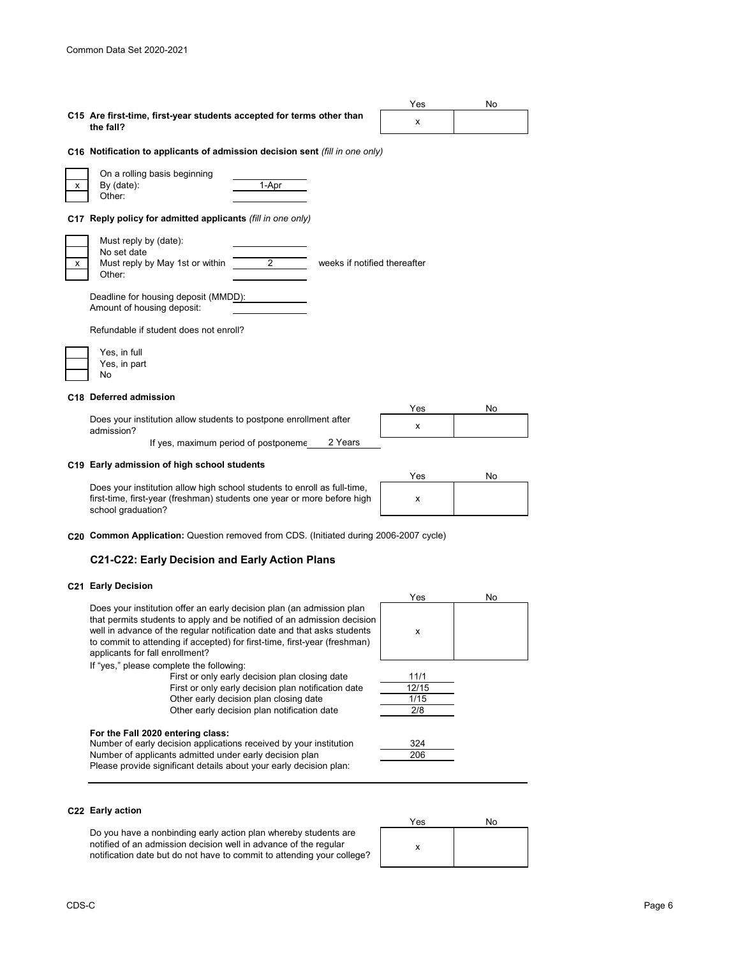|                                                                                                                                                                           | Yes      | No |
|---------------------------------------------------------------------------------------------------------------------------------------------------------------------------|----------|----|
| C15 Are first-time, first-year students accepted for terms other than<br>the fall?                                                                                        | x        |    |
| C16 Notification to applicants of admission decision sent (fill in one only)                                                                                              |          |    |
| On a rolling basis beginning<br>By (date):<br>1-Apr<br>x<br>Other:                                                                                                        |          |    |
| C17 Reply policy for admitted applicants (fill in one only)                                                                                                               |          |    |
| Must reply by (date):<br>No set date<br>2<br>weeks if notified thereafter<br>Must reply by May 1st or within<br>х<br>Other:                                               |          |    |
| Deadline for housing deposit (MMDD):<br>Amount of housing deposit:                                                                                                        |          |    |
| Refundable if student does not enroll?                                                                                                                                    |          |    |
| Yes, in full<br>Yes, in part<br>No                                                                                                                                        |          |    |
| C18 Deferred admission                                                                                                                                                    |          |    |
| Does your institution allow students to postpone enrollment after<br>admission?                                                                                           | Yes<br>x | No |
| 2 Years<br>If yes, maximum period of postponeme                                                                                                                           |          |    |
| C19 Early admission of high school students                                                                                                                               | Yes      | No |
| Does your institution allow high school students to enroll as full-time,<br>first-time, first-year (freshman) students one year or more before high<br>school graduation? | x        |    |
| C20 Common Application: Question removed from CDS. (Initiated during 2006-2007 cycle)                                                                                     |          |    |

# **C21-C22: Early Decision and Early Action Plans**

#### **C21 Early Decision**

Does your institution offer an early decision plan (an admission plan that permits students to apply and be notified of an admission decision well in advance of the regular notification date and that asks students to commit to attending if accepted) for first-time, first-year (freshman) applicants for fall enrollment?

If "yes," please complete the following:

First or only early decision plan closing date First or only early decision plan notification date Other early decision plan closing date Other early decision plan notification date

#### **For the Fall 2020 entering class:**

Please provide significant details about your early decision plan: Number of early decision applications received by your institution Number of applicants admitted under early decision plan



| 11/1  |
|-------|
| 12/15 |
| 1/15  |
| 2/8   |
|       |



### **C22 Early action**

Do you have a nonbinding early action plan whereby students are notified of an admission decision well in advance of the regular notification date but do not have to commit to attending your college?